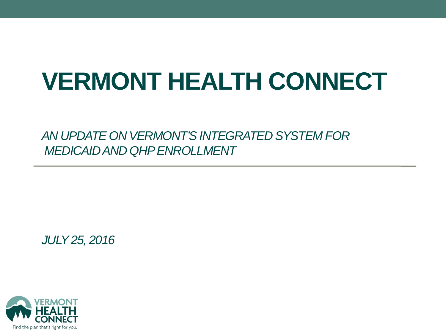## **VERMONT HEALTH CONNECT**

*AN UPDATE ON VERMONT'S INTEGRATED SYSTEM FOR MEDICAID AND QHP ENROLLMENT*

*JULY25, 2016*

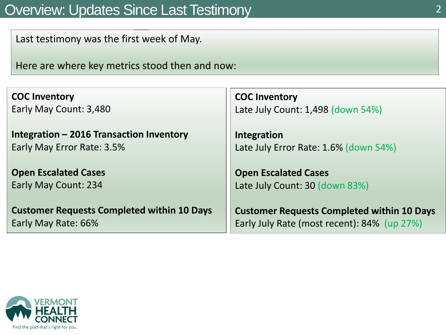### Overview: Updates Since Last Testimony 2

Last testimony was the first week of May.

Here are where key metrics stood then and now:

**COC Inventory** Early May Count: 3,480

**Integration – 2016 Transaction Inventory** Early May Error Rate: 3.5%

**Open Escalated Cases**  Early May Count: 234

**Customer Requests Completed within 10 Days**  Early May Rate: 66%

**COC Inventory** Late July Count: 1,498 (down 54%)

**Integration**  Late July Error Rate: 1.6% (down 54%)

**Open Escalated Cases**  Late July Count: 30 (down 83%)

**Customer Requests Completed within 10 Days**  Early July Rate (most recent): 84% (up 27%)

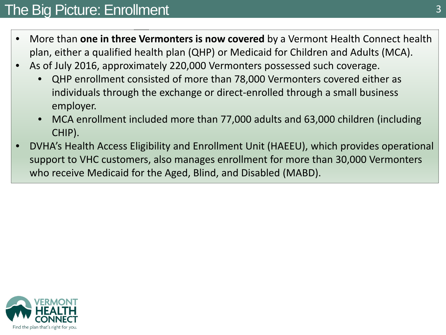## The Big Picture: Enrollment 3

- More than **one in three Vermonters is now covered** by a Vermont Health Connect health plan, either a qualified health plan (QHP) or Medicaid for Children and Adults (MCA).
- As of July 2016, approximately 220,000 Vermonters possessed such coverage.
	- QHP enrollment consisted of more than 78,000 Vermonters covered either as individuals through the exchange or direct-enrolled through a small business employer.
	- MCA enrollment included more than 77,000 adults and 63,000 children (including CHIP).
- DVHA's Health Access Eligibility and Enrollment Unit (HAEEU), which provides operational support to VHC customers, also manages enrollment for more than 30,000 Vermonters who receive Medicaid for the Aged, Blind, and Disabled (MABD).

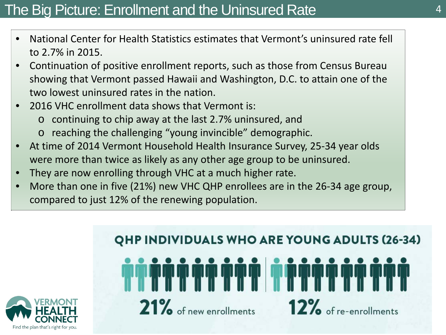## The Big Picture: Enrollment and the Uninsured Rate 4

- National Center for Health Statistics estimates that Vermont's uninsured rate fell to 2.7% in 2015.
- Continuation of positive enrollment reports, such as those from Census Bureau showing that Vermont passed Hawaii and Washington, D.C. to attain one of the two lowest uninsured rates in the nation.
- 2016 VHC enrollment data shows that Vermont is:
	- o continuing to chip away at the last 2.7% uninsured, and
	- o reaching the challenging "young invincible" demographic.
- At time of 2014 Vermont Household Health Insurance Survey, 25-34 year olds were more than twice as likely as any other age group to be uninsured.
- They are now enrolling through VHC at a much higher rate.
- More than one in five (21%) new VHC QHP enrollees are in the 26-34 age group, compared to just 12% of the renewing population.



## **QHP INDIVIDUALS WHO ARE YOUNG ADULTS (26-34)** 21% of new enrollments 12% of re-enrollments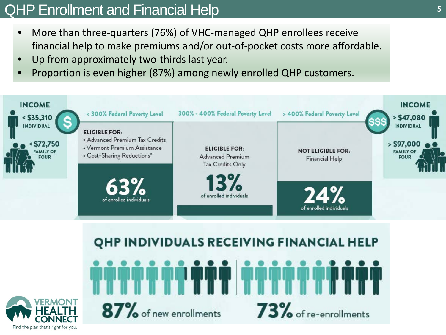## QHP Enrollment and Financial Help **<sup>5</sup>**

- More than three-quarters (76%) of VHC-managed QHP enrollees receive financial help to make premiums and/or out-of-pocket costs more affordable.
- Up from approximately two-thirds last year.
- Proportion is even higher (87%) among newly enrolled QHP customers.



## QHP INDIVIDUALS RECEIVING FINANCIAL HELP 87% of new enrollments 73% of re-enrollments

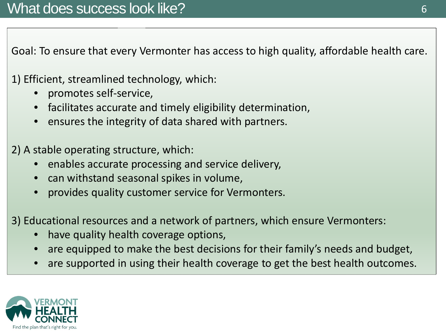• Goal: To ensure that every Vermonter has access to high quality, affordable health care.

1) Efficient, streamlined technology, which:

- promotes self-service,
- facilitates accurate and timely eligibility determination,
- ensures the integrity of data shared with partners.

2) A stable operating structure, which:

- enables accurate processing and service delivery,
- can withstand seasonal spikes in volume,
- provides quality customer service for Vermonters.

3) Educational resources and a network of partners, which ensure Vermonters:

- have quality health coverage options,
- are equipped to make the best decisions for their family's needs and budget,
- are supported in using their health coverage to get the best health outcomes.

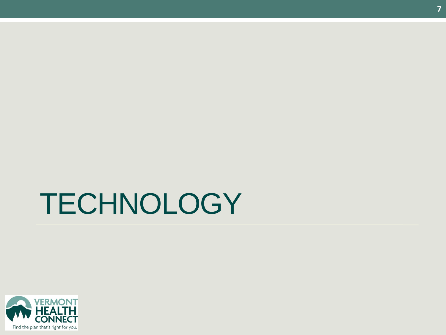## **TECHNOLOGY**

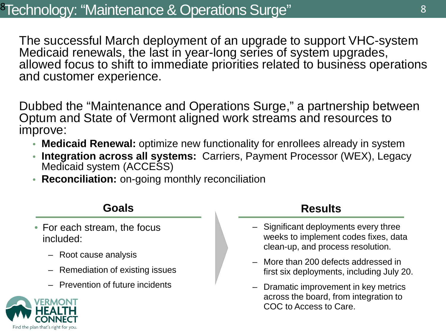The successful March deployment of an upgrade to support VHC-system Medicaid renewals, the last in year-long series of system upgrades, allowed focus to shift to immediate priorities related to business operations and customer experience.

Dubbed the "Maintenance and Operations Surge," a partnership between Optum and State of Vermont aligned work streams and resources to improve:

- **Medicaid Renewal:** optimize new functionality for enrollees already in system
- **Integration across all systems:** Carriers, Payment Processor (WEX), Legacy Medicaid system (ACCESS)
- **Reconciliation:** on-going monthly reconciliation

- For each stream, the focus included:
	- Root cause analysis
	- Remediation of existing issues
	- Prevention of future incidents

#### **Goals Results**

- Significant deployments every three weeks to implement codes fixes, data clean-up, and process resolution.
- More than 200 defects addressed in first six deployments, including July 20.
- Dramatic improvement in key metrics across the board, from integration to COC to Access to Care.

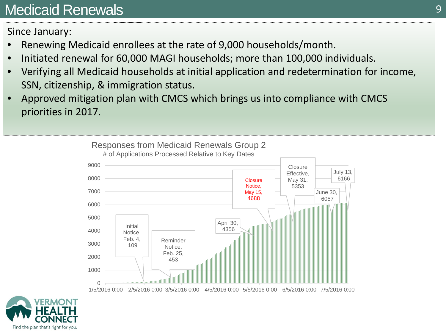## Medicaid Renewals 9

Since January:

- Renewing Medicaid enrollees at the rate of 9,000 households/month.
- Initiated renewal for 60,000 MAGI households; more than 100,000 individuals.
- Verifying all Medicaid households at initial application and redetermination for income, SSN, citizenship, & immigration status.
- Approved mitigation plan with CMCS which brings us into compliance with CMCS priorities in 2017.



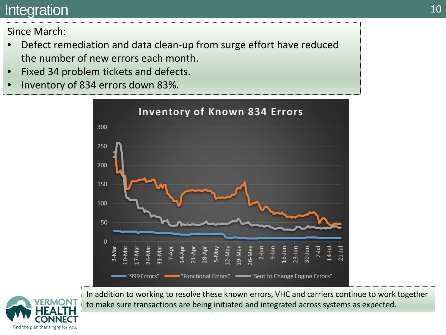### Integration and the set of the set of the set of the set of the set of the set of the set of the set of the set of the set of the set of the set of the set of the set of the set of the set of the set of the set of the set

### Since March:

- Defect remediation and data clean-up from surge effort have reduced the number of new errors each month.
- Fixed 34 problem tickets and defects.
- Inventory of 834 errors down 83%.





In addition to working to resolve these known errors, VHC and carriers continue to work together to make sure transactions are being initiated and integrated across systems as expected.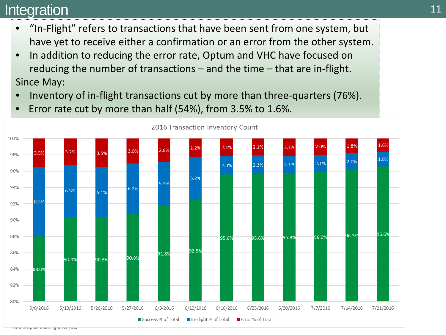### Integration and the set of the set of the set of the set of the set of the set of the set of the set of the set of the set of the set of the set of the set of the set of the set of the set of the set of the set of the set

- "In-Flight" refers to transactions that have been sent from one system, but have yet to receive either a confirmation or an error from the other system.
- In addition to reducing the error rate, Optum and VHC have focused on reducing the number of transactions – and the time – that are in-flight. Since May:
- Inventory of in-flight transactions cut by more than three-quarters (76%).



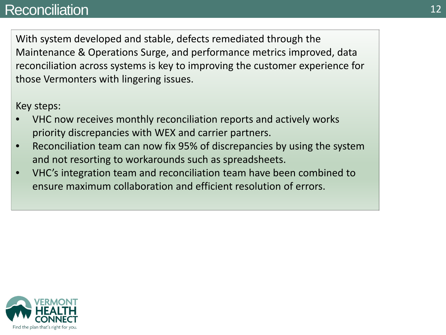### Reconciliation **12** and 12

With system developed and stable, defects remediated through the Maintenance & Operations Surge, and performance metrics improved, data reconciliation across systems is key to improving the customer experience for those Vermonters with lingering issues.

Key steps:

- VHC now receives monthly reconciliation reports and actively works priority discrepancies with WEX and carrier partners.
- Reconciliation team can now fix 95% of discrepancies by using the system and not resorting to workarounds such as spreadsheets.
- VHC's integration team and reconciliation team have been combined to ensure maximum collaboration and efficient resolution of errors.

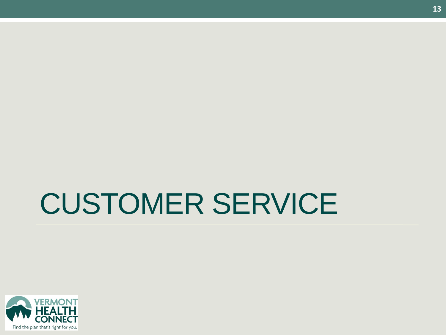## CUSTOMER SERVICE

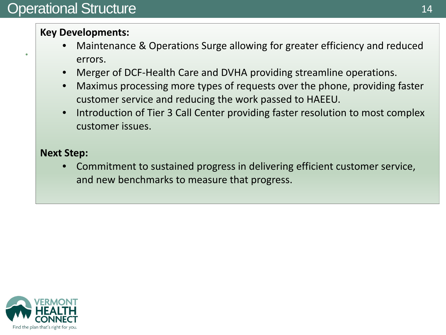•

#### **Key Developments:**

- Maintenance & Operations Surge allowing for greater efficiency and reduced errors.
- Merger of DCF-Health Care and DVHA providing streamline operations.
- Maximus processing more types of requests over the phone, providing faster customer service and reducing the work passed to HAEEU.
- Introduction of Tier 3 Call Center providing faster resolution to most complex customer issues.

#### **Next Step:**

• Commitment to sustained progress in delivering efficient customer service, and new benchmarks to measure that progress.

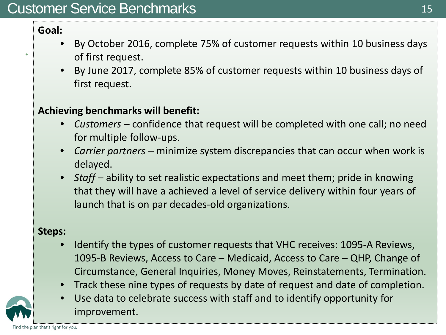### Customer Service Benchmarks

#### **Goal:**

•

- By October 2016, complete 75% of customer requests within 10 business days of first request.
- By June 2017, complete 85% of customer requests within 10 business days of first request.

#### **Achieving benchmarks will benefit:**

- *Customers* confidence that request will be completed with one call; no need for multiple follow-ups.
- *Carrier partners* minimize system discrepancies that can occur when work is delayed.
- *Staff* ability to set realistic expectations and meet them; pride in knowing that they will have a achieved a level of service delivery within four years of launch that is on par decades-old organizations.

#### **Steps:**

- Identify the types of customer requests that VHC receives: 1095-A Reviews, 1095-B Reviews, Access to Care – Medicaid, Access to Care – QHP, Change of Circumstance, General Inquiries, Money Moves, Reinstatements, Termination.
- Track these nine types of requests by date of request and date of completion.
- Use data to celebrate success with staff and to identify opportunity for improvement.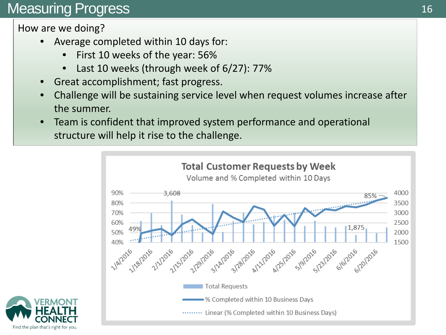## Measuring Progress

How are we doing?

- Average completed within 10 days for:
	- First 10 weeks of the year: 56%
	- Last 10 weeks (through week of 6/27): 77%
- Great accomplishment; fast progress.
- Challenge will be sustaining service level when request volumes increase after the summer.
- Team is confident that improved system performance and operational structure will help it rise to the challenge.



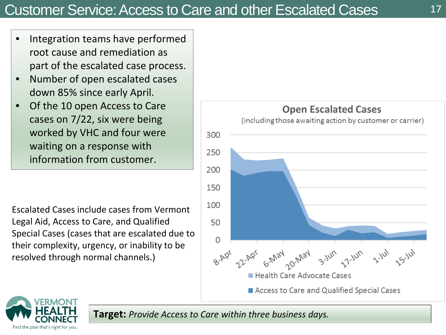- Integration teams have performed root cause and remediation as part of the escalated case process.
- Number of open escalated cases down 85% since early April.
- Of the 10 open Access to Care cases on 7/22, six were being worked by VHC and four were waiting on a response with information from customer.

Escalated Cases include cases from Vermont Legal Aid, Access to Care, and Qualified Special Cases (cases that are escalated due to their complexity, urgency, or inability to be resolved through normal channels.)





**Target:** *Provide Access to Care within three business days.*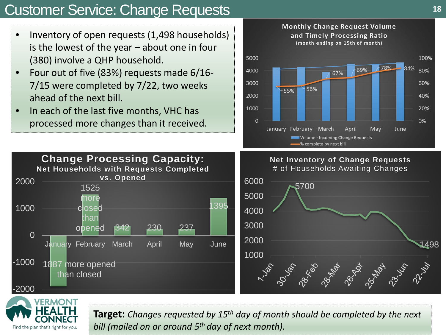## Customer Service: Change Requests **<sup>18</sup>**

- Inventory of open requests (1,498 households) is the lowest of the year – about one in four (380) involve a QHP household.
- Four out of five (83%) requests made 6/16- 7/15 were completed by 7/22, two weeks ahead of the next bill.
- In each of the last five months, VHC has processed more changes than it received.







**Target:** *Changes requested by 15th day of month should be completed by the next bill (mailed on or around 5th day of next month).*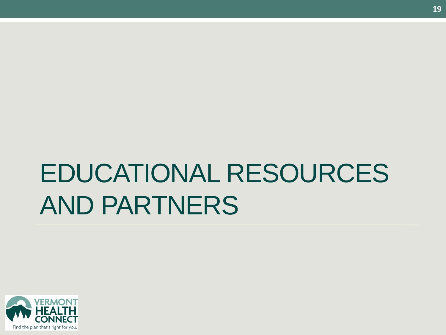## EDUCATIONAL RESOURCES AND PARTNERS

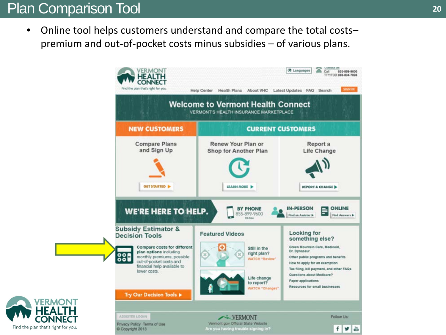## Plan Comparison Tool **<sup>20</sup>**

• Online tool helps customers understand and compare the total costspremium and out-of-pocket costs minus subsidies – of various plans.

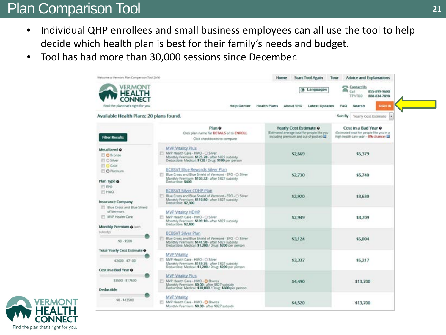## Plan Comparison Tool **21 21**

- Individual QHP enrollees and small business employees can all use the tool to help decide which health plan is best for their family's needs and budget.
- Tool has had more than 30,000 sessions since December.

| Velcome to Vermont Plan Comparison Tool 2016                                                     |                                                                                                                                                                                                  | Home<br><b>Start Tool Again</b>                                                                                    | Advice and Explanations<br>Tour                                                                                     |  |
|--------------------------------------------------------------------------------------------------|--------------------------------------------------------------------------------------------------------------------------------------------------------------------------------------------------|--------------------------------------------------------------------------------------------------------------------|---------------------------------------------------------------------------------------------------------------------|--|
| ER MONT<br>m                                                                                     |                                                                                                                                                                                                  | (@ Languages                                                                                                       | Contact Us<br>๛<br>Call<br>855-899-9600<br>TTV/TDD<br>888-834-7898                                                  |  |
| Find the plan that's right for you.                                                              | Help Center                                                                                                                                                                                      | Health Plans<br>About VHC<br>Latest Updates                                                                        | <b>SIGN IN</b><br><b>FAQ</b><br>Search                                                                              |  |
| Available Health Plans: 20 plans found.                                                          |                                                                                                                                                                                                  |                                                                                                                    | Sort By<br>Yearly Cost Estimate<br><b>Del</b>                                                                       |  |
| <b>Filter Results</b>                                                                            | Plan O<br>Click plan name for DETAILS or to ENROLL<br>Click checkboxes to compare                                                                                                                | Yearly Cost Estimate O<br>(Estimated average total for people like you<br>including premium and out-of-pocket) [3] | Cost in a Bad Year $\bullet$<br>(Estimated total for people like you in a<br>high health care year - B% chance) all |  |
| Metal Level @<br>C O Bronze<br><b>El O Silver</b>                                                | MVP Vitality Plus<br>MVP Health Care - HMO - O Silver<br>Monthly Premium: \$125.78 - after \$827 subsidy<br>Deductible: Medical: \$120 / Drug: \$100 per person                                  | \$2,669                                                                                                            | \$5,379                                                                                                             |  |
| D Gold<br>O Platinum<br>Plan Type @                                                              | BCBSVT Bliue Rewards Silver Plan<br>Blue Cross and Blue Shield of Vermont - EPO - CI Silver<br>Monthly Premium: \$103.32 - after \$827 subsidy<br>Deductible: \$400                              | \$2,730                                                                                                            | \$5,740                                                                                                             |  |
| <b>FEPO</b><br><b>ED HMO</b><br>Insurance Company                                                | <b>BCBSVT Stiver CDHP Plan</b><br>Blue Cross and Blue Shield of Vermont - EPO - O Silver<br>Monthly Premium: \$110.80 - after \$827 subsidy<br>Deductible: \$2,300                               | \$2,920<br>\$3,630                                                                                                 |                                                                                                                     |  |
| <b>FT Blue Cross and Blue Shield</b><br>of Vermont<br>MVP Health Care<br>Monthly Premium @ Intin | MVP Vitality HDHP<br>NVP Health Care - HMO - C Silver<br>Monthly Premium: \$109.10 - after \$827 subsidy<br>Deductible: \$2,400                                                                  | \$2,949                                                                                                            | \$3,709<br>\$5,004                                                                                                  |  |
| subsidy)<br>$$0 - $500$                                                                          | <b>BCBSVT Silver Plan</b><br>Blue Cross and Blue Shield of Vermont - EPO - C Silver<br>Monthly Premium: \$141.98 - after \$827 subsidy<br>Deductible: Medical: \$1,200 / Drug: \$200 per person. | \$3,124                                                                                                            |                                                                                                                     |  |
| Total Yearly Cost Estimate O<br>\$2600 - \$7100                                                  | <b>MVP Vitality</b><br>MVP Health Care - HMO - C) Silver<br>Monthly Premium: \$159.76 - after \$827 subsidy<br>Deductible: Medical: \$1,200 / Drug: \$200 per person                             | \$3,337                                                                                                            | \$5,217                                                                                                             |  |
| Cost in a Bad Year O<br>\$3500 - \$17500<br>Deductible                                           | MVP Vitality Plus<br>MVP Health Care - HMD - O Bronzer<br>Monthly Premium: \$0.00 - after \$827 subsidy<br>Deductible: Medical: \$10,000 / Drug: \$600 per person                                | \$4,490                                                                                                            | \$13,700                                                                                                            |  |
| $$0 - $13500$                                                                                    | MVP Vitality<br>MVP Health Care - HMO - O Bronze<br>Monthly Premium: \$0.00 - after \$827 subsidy                                                                                                | \$4,520                                                                                                            | \$13,700                                                                                                            |  |

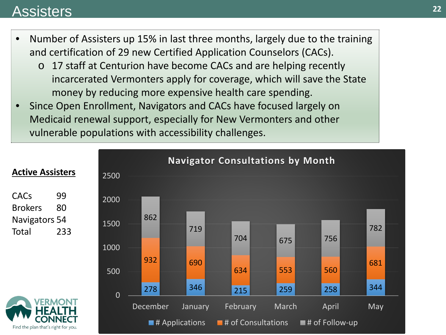### Assisters

- Number of Assisters up 15% in last three months, largely due to the training and certification of 29 new Certified Application Counselors (CACs).
	- o 17 staff at Centurion have become CACs and are helping recently incarcerated Vermonters apply for coverage, which will save the State money by reducing more expensive health care spending.
- Since Open Enrollment, Navigators and CACs have focused largely on Medicaid renewal support, especially for New Vermonters and other vulnerable populations with accessibility challenges.



#### **22**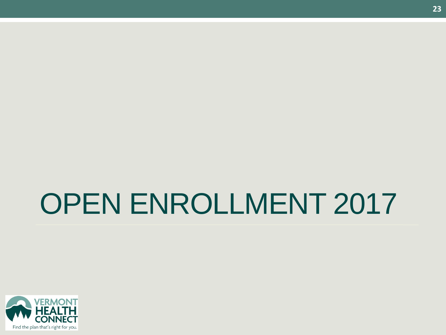## OPEN ENROLLMENT 2017

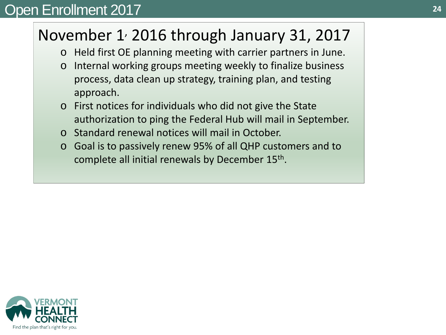## Open Enrollment 2017 **<sup>24</sup>**

## November  $1$ , 2016 through January 31, 2017

- o Held first OE planning meeting with carrier partners in June.
- o Internal working groups meeting weekly to finalize business process, data clean up strategy, training plan, and testing approach.
- o First notices for individuals who did not give the State authorization to ping the Federal Hub will mail in September.
- o Standard renewal notices will mail in October.
- o Goal is to passively renew 95% of all QHP customers and to complete all initial renewals by December 15th.

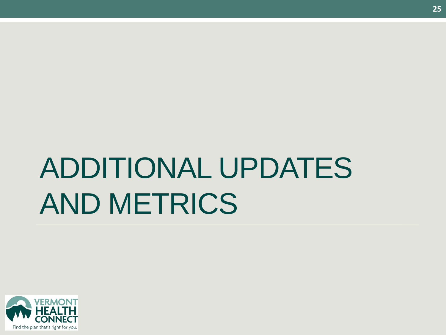# ADDITIONAL UPDATES AND METRICS

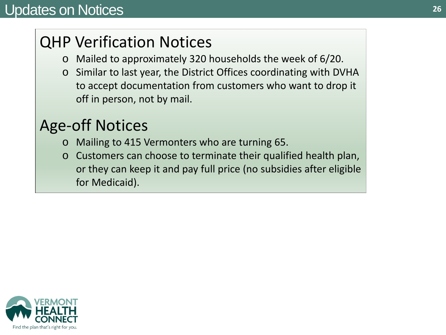## QHP Verification Notices

- o Mailed to approximately 320 households the week of 6/20.
- o Similar to last year, the District Offices coordinating with DVHA to accept documentation from customers who want to drop it off in person, not by mail.

## Age-off Notices

- o Mailing to 415 Vermonters who are turning 65.
- o Customers can choose to terminate their qualified health plan, or they can keep it and pay full price (no subsidies after eligible for Medicaid).

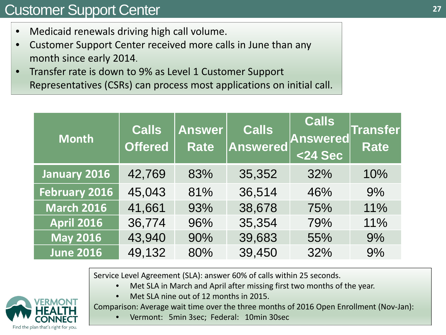## Customer Support Center

- Medicaid renewals driving high call volume.
- Customer Support Center received more calls in June than any month since early 2014.
- Transfer rate is down to 9% as Level 1 Customer Support Representatives (CSRs) can process most applications on initial call.

| <b>Month</b>         | <b>Calls</b><br><b>Offered</b> | <b>Answer</b><br><b>Rate</b> | <b>Calls</b><br>Answered | $ $ Calls<br>Answered<br>$<$ 24 Sec | <b>Transfer</b><br><b>Rate</b> |
|----------------------|--------------------------------|------------------------------|--------------------------|-------------------------------------|--------------------------------|
| <b>January 2016</b>  | 42,769                         | 83%                          | 35,352                   | 32%                                 | 10%                            |
| <b>February 2016</b> | 45,043                         | 81%                          | 36,514                   | 46%                                 | 9%                             |
| <b>March 2016</b>    | 41,661                         | 93%                          | 38,678                   | 75%                                 | 11%                            |
| <b>April 2016</b>    | 36,774                         | 96%                          | 35,354                   | 79%                                 | 11%                            |
| <b>May 2016</b>      | 43,940                         | 90%                          | 39,683                   | 55%                                 | 9%                             |
| <b>June 2016</b>     | 49,132                         | 80%                          | 39,450                   | 32%                                 | 9%                             |

Service Level Agreement (SLA): answer 60% of calls within 25 seconds.

- Met SLA in March and April after missing first two months of the year.
- Met SLA nine out of 12 months in 2015.

Comparison: Average wait time over the three months of 2016 Open Enrollment (Nov-Jan):

• Vermont: 5min 3sec; Federal: 10min 30sec